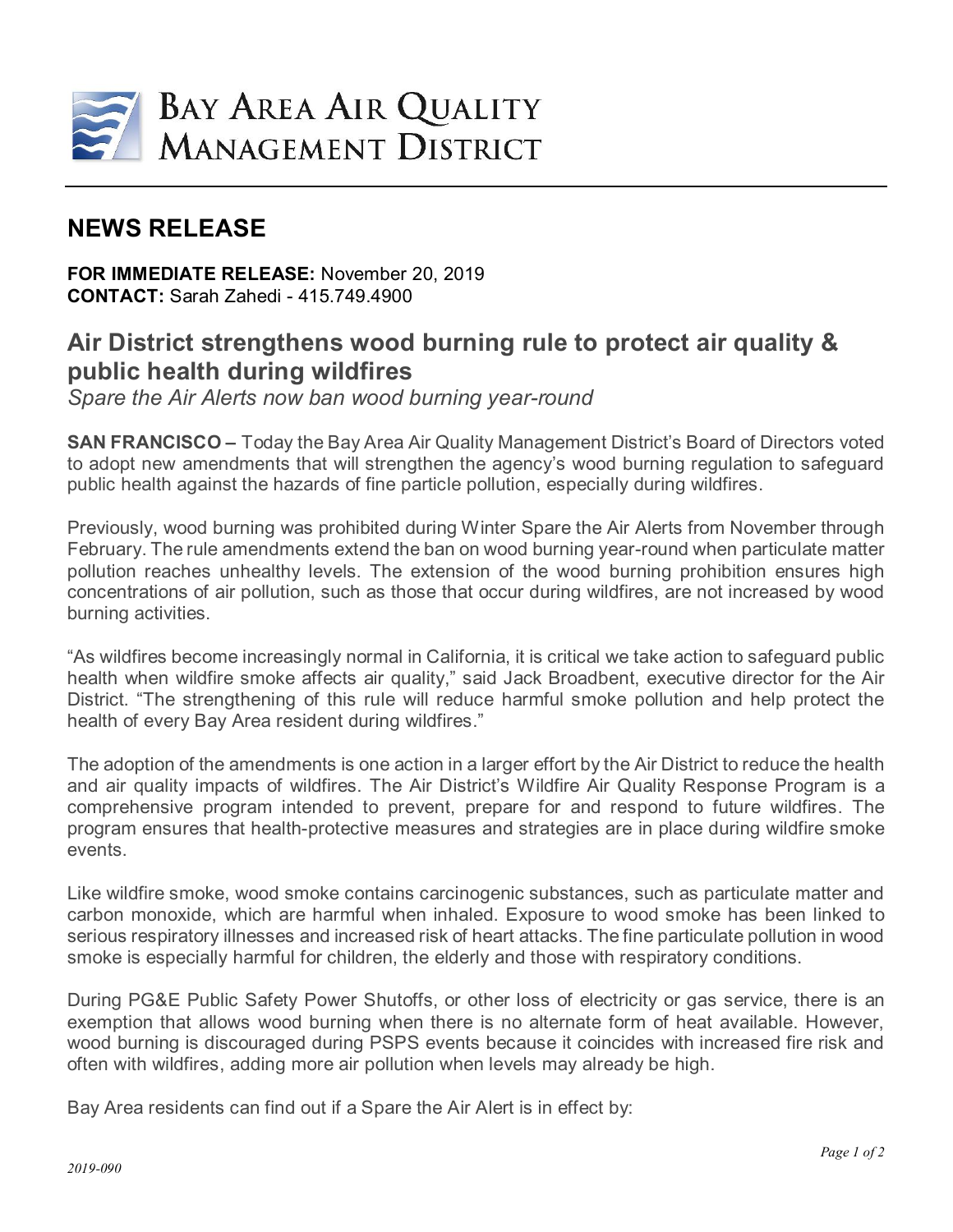

## **NEWS RELEASE**

**FOR IMMEDIATE RELEASE:** November 20, 2019 **CONTACT:** Sarah Zahedi - 415.749.4900

## **Air District strengthens wood burning rule to protect air quality & public health during wildfires**

*Spare the Air Alerts now ban wood burning year-round*

**SAN FRANCISCO –** Today the Bay Area Air Quality Management District's Board of Directors voted to adopt new amendments that will strengthen the agency's wood burning regulation to safeguard public health against the hazards of fine particle pollution, especially during wildfires.

Previously, wood burning was prohibited during Winter Spare the Air Alerts from November through February. The rule amendments extend the ban on wood burning year-round when particulate matter pollution reaches unhealthy levels. The extension of the wood burning prohibition ensures high concentrations of air pollution, such as those that occur during wildfires, are not increased by wood burning activities.

"As wildfires become increasingly normal in California, it is critical we take action to safeguard public health when wildfire smoke affects air quality," said Jack Broadbent, executive director for the Air District. "The strengthening of this rule will reduce harmful smoke pollution and help protect the health of every Bay Area resident during wildfires."

The adoption of the amendments is one action in a larger effort by the Air District to reduce the health and air quality impacts of wildfires. The Air District's Wildfire Air Quality Response Program is a comprehensive program intended to prevent, prepare for and respond to future wildfires. The program ensures that health-protective measures and strategies are in place during wildfire smoke events.

Like wildfire smoke, wood smoke contains carcinogenic substances, such as particulate matter and carbon monoxide, which are harmful when inhaled. Exposure to wood smoke has been linked to serious respiratory illnesses and increased risk of heart attacks. The fine particulate pollution in wood smoke is especially harmful for children, the elderly and those with respiratory conditions.

During PG&E Public Safety Power Shutoffs, or other loss of electricity or gas service, there is an exemption that allows wood burning when there is no alternate form of heat available. However, wood burning is discouraged during PSPS events because it coincides with increased fire risk and often with wildfires, adding more air pollution when levels may already be high.

Bay Area residents can find out if a Spare the Air Alert is in effect by: